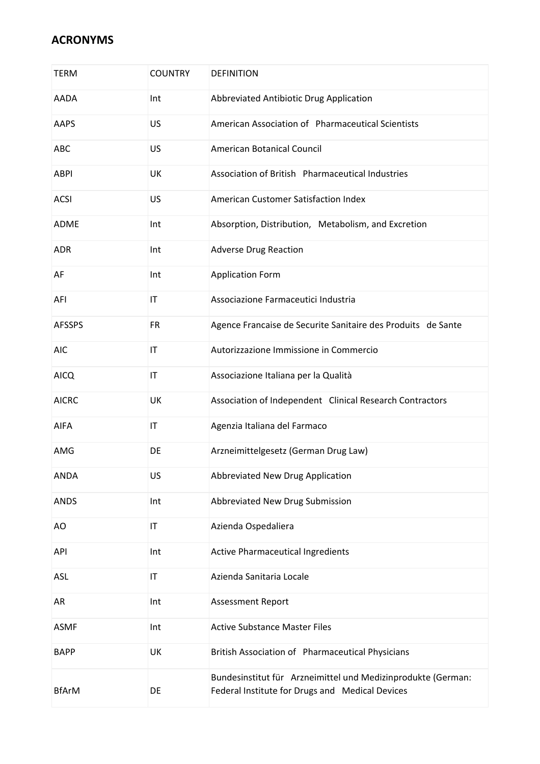| <b>TERM</b>   | <b>COUNTRY</b>         | <b>DEFINITION</b>                                                                                               |
|---------------|------------------------|-----------------------------------------------------------------------------------------------------------------|
| <b>AADA</b>   | Int                    | Abbreviated Antibiotic Drug Application                                                                         |
| AAPS          | US                     | American Association of Pharmaceutical Scientists                                                               |
| ABC           | US                     | American Botanical Council                                                                                      |
| <b>ABPI</b>   | UK                     | Association of British Pharmaceutical Industries                                                                |
| <b>ACSI</b>   | US                     | American Customer Satisfaction Index                                                                            |
| <b>ADME</b>   | Int                    | Absorption, Distribution, Metabolism, and Excretion                                                             |
| <b>ADR</b>    | Int                    | <b>Adverse Drug Reaction</b>                                                                                    |
| AF            | Int                    | <b>Application Form</b>                                                                                         |
| AFI           | IT                     | Associazione Farmaceutici Industria                                                                             |
| <b>AFSSPS</b> | <b>FR</b>              | Agence Francaise de Securite Sanitaire des Produits de Sante                                                    |
| <b>AIC</b>    | $\mathsf{I}\mathsf{T}$ | Autorizzazione Immissione in Commercio                                                                          |
| <b>AICQ</b>   | $\mathsf{I}\mathsf{T}$ | Associazione Italiana per la Qualità                                                                            |
| <b>AICRC</b>  | UK                     | Association of Independent Clinical Research Contractors                                                        |
| AIFA          | $\mathsf{I}\mathsf{T}$ | Agenzia Italiana del Farmaco                                                                                    |
| AMG           | DE                     | Arzneimittelgesetz (German Drug Law)                                                                            |
| ANDA          | US                     | Abbreviated New Drug Application                                                                                |
| <b>ANDS</b>   | Int                    | Abbreviated New Drug Submission                                                                                 |
| AO            | $\mathsf{I}\mathsf{T}$ | Azienda Ospedaliera                                                                                             |
| API           | Int                    | <b>Active Pharmaceutical Ingredients</b>                                                                        |
| <b>ASL</b>    | $\mathsf{I}\mathsf{T}$ | Azienda Sanitaria Locale                                                                                        |
| AR            | Int                    | <b>Assessment Report</b>                                                                                        |
| <b>ASMF</b>   | Int                    | <b>Active Substance Master Files</b>                                                                            |
| <b>BAPP</b>   | UK                     | British Association of Pharmaceutical Physicians                                                                |
| <b>BfArM</b>  | DE                     | Bundesinstitut für Arzneimittel und Medizinprodukte (German:<br>Federal Institute for Drugs and Medical Devices |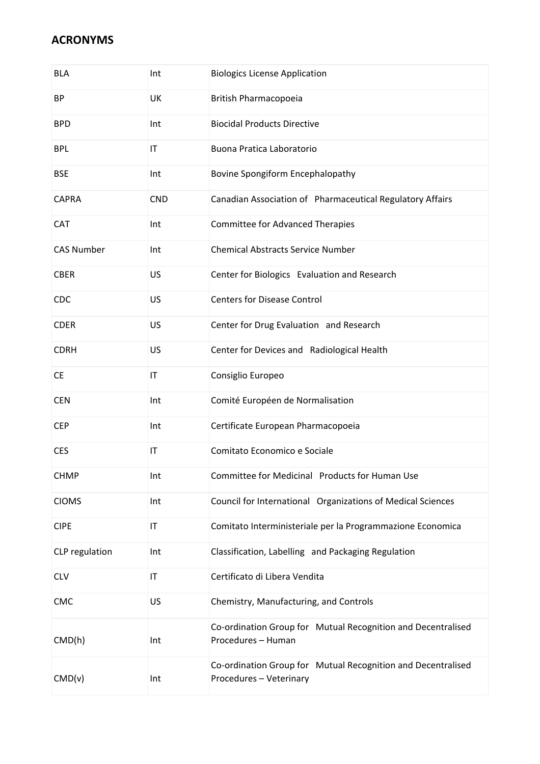| <b>BLA</b>        | Int                    | <b>Biologics License Application</b>                                                    |
|-------------------|------------------------|-----------------------------------------------------------------------------------------|
| <b>BP</b>         | UK                     | British Pharmacopoeia                                                                   |
| <b>BPD</b>        | Int                    | <b>Biocidal Products Directive</b>                                                      |
| <b>BPL</b>        | IT                     | Buona Pratica Laboratorio                                                               |
| <b>BSE</b>        | Int                    | Bovine Spongiform Encephalopathy                                                        |
| <b>CAPRA</b>      | <b>CND</b>             | Canadian Association of Pharmaceutical Regulatory Affairs                               |
| CAT               | Int                    | <b>Committee for Advanced Therapies</b>                                                 |
| <b>CAS Number</b> | Int                    | <b>Chemical Abstracts Service Number</b>                                                |
| <b>CBER</b>       | US                     | Center for Biologics Evaluation and Research                                            |
| <b>CDC</b>        | US                     | <b>Centers for Disease Control</b>                                                      |
| <b>CDER</b>       | US                     | Center for Drug Evaluation and Research                                                 |
| <b>CDRH</b>       | US                     | Center for Devices and Radiological Health                                              |
| <b>CE</b>         | $\mathsf{I}\mathsf{T}$ | Consiglio Europeo                                                                       |
| <b>CEN</b>        | Int                    | Comité Européen de Normalisation                                                        |
| <b>CEP</b>        | Int                    | Certificate European Pharmacopoeia                                                      |
| <b>CES</b>        | $\mathsf{I}\mathsf{T}$ | Comitato Economico e Sociale                                                            |
| <b>CHMP</b>       | Int                    | Committee for Medicinal Products for Human Use                                          |
| <b>CIOMS</b>      | Int                    | Council for International Organizations of Medical Sciences                             |
| <b>CIPE</b>       | IT                     | Comitato Interministeriale per la Programmazione Economica                              |
| CLP regulation    | Int                    | Classification, Labelling and Packaging Regulation                                      |
| <b>CLV</b>        | $\mathsf{I}\mathsf{T}$ | Certificato di Libera Vendita                                                           |
| CMC               | US                     | Chemistry, Manufacturing, and Controls                                                  |
| CMD(h)            | Int                    | Co-ordination Group for Mutual Recognition and Decentralised<br>Procedures - Human      |
| CMD(v)            | Int                    | Co-ordination Group for Mutual Recognition and Decentralised<br>Procedures - Veterinary |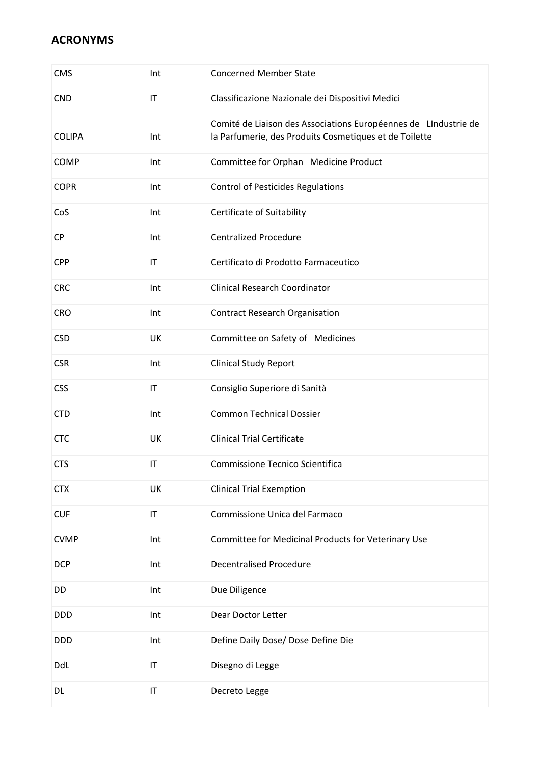| <b>CMS</b>    | Int                    | <b>Concerned Member State</b>                                                                                             |
|---------------|------------------------|---------------------------------------------------------------------------------------------------------------------------|
| <b>CND</b>    | $\mathsf{I}\mathsf{T}$ | Classificazione Nazionale dei Dispositivi Medici                                                                          |
| <b>COLIPA</b> | Int                    | Comité de Liaison des Associations Européennes de LIndustrie de<br>la Parfumerie, des Produits Cosmetiques et de Toilette |
| <b>COMP</b>   | Int                    | Committee for Orphan Medicine Product                                                                                     |
| <b>COPR</b>   | Int                    | <b>Control of Pesticides Regulations</b>                                                                                  |
| CoS           | Int                    | Certificate of Suitability                                                                                                |
| <b>CP</b>     | Int                    | <b>Centralized Procedure</b>                                                                                              |
| <b>CPP</b>    | $\mathsf{I}\mathsf{T}$ | Certificato di Prodotto Farmaceutico                                                                                      |
| <b>CRC</b>    | Int                    | <b>Clinical Research Coordinator</b>                                                                                      |
| <b>CRO</b>    | Int                    | <b>Contract Research Organisation</b>                                                                                     |
| <b>CSD</b>    | UK                     | Committee on Safety of Medicines                                                                                          |
| <b>CSR</b>    | Int                    | <b>Clinical Study Report</b>                                                                                              |
| <b>CSS</b>    | $\mathsf{I}\mathsf{T}$ | Consiglio Superiore di Sanità                                                                                             |
| <b>CTD</b>    | Int                    | <b>Common Technical Dossier</b>                                                                                           |
| <b>CTC</b>    | UK                     | <b>Clinical Trial Certificate</b>                                                                                         |
| <b>CTS</b>    | IT                     | Commissione Tecnico Scientifica                                                                                           |
| <b>CTX</b>    | UK                     | <b>Clinical Trial Exemption</b>                                                                                           |
| <b>CUF</b>    | $\mathsf{I}\mathsf{T}$ | Commissione Unica del Farmaco                                                                                             |
| <b>CVMP</b>   | Int                    | Committee for Medicinal Products for Veterinary Use                                                                       |
| <b>DCP</b>    | Int                    | <b>Decentralised Procedure</b>                                                                                            |
| DD            | Int                    | Due Diligence                                                                                                             |
| <b>DDD</b>    | Int                    | Dear Doctor Letter                                                                                                        |
| <b>DDD</b>    | Int                    | Define Daily Dose/ Dose Define Die                                                                                        |
| DdL           | $\mathsf{I}\mathsf{T}$ | Disegno di Legge                                                                                                          |
| DL            | $\mathsf{I}\mathsf{T}$ | Decreto Legge                                                                                                             |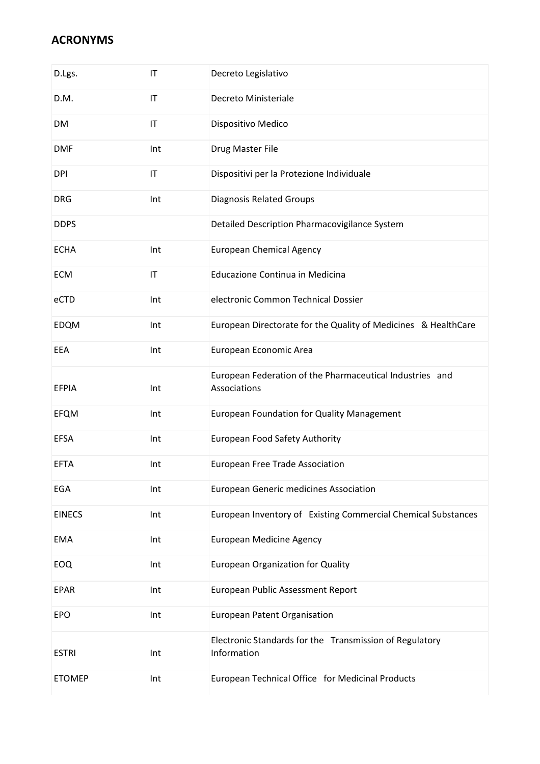| D.Lgs.        | $\mathsf{I}\mathsf{T}$ | Decreto Legislativo                                                      |
|---------------|------------------------|--------------------------------------------------------------------------|
| D.M.          | IT                     | Decreto Ministeriale                                                     |
| DM            | $\mathsf{I}\mathsf{T}$ | Dispositivo Medico                                                       |
| <b>DMF</b>    | Int                    | Drug Master File                                                         |
| <b>DPI</b>    | $\mathsf{I}\mathsf{T}$ | Dispositivi per la Protezione Individuale                                |
| <b>DRG</b>    | Int                    | <b>Diagnosis Related Groups</b>                                          |
| <b>DDPS</b>   |                        | Detailed Description Pharmacovigilance System                            |
| <b>ECHA</b>   | Int                    | <b>European Chemical Agency</b>                                          |
| <b>ECM</b>    | IT                     | Educazione Continua in Medicina                                          |
| eCTD          | Int                    | electronic Common Technical Dossier                                      |
| <b>EDQM</b>   | Int                    | European Directorate for the Quality of Medicines & HealthCare           |
| EEA           | Int                    | European Economic Area                                                   |
| <b>EFPIA</b>  | Int                    | European Federation of the Pharmaceutical Industries and<br>Associations |
| <b>EFQM</b>   | Int                    | <b>European Foundation for Quality Management</b>                        |
| <b>EFSA</b>   | Int                    | European Food Safety Authority                                           |
| <b>EFTA</b>   | Int                    | <b>European Free Trade Association</b>                                   |
| EGA           | Int                    | <b>European Generic medicines Association</b>                            |
| <b>EINECS</b> | Int                    | European Inventory of Existing Commercial Chemical Substances            |
| EMA           | Int                    | <b>European Medicine Agency</b>                                          |
| EOQ           | Int                    | <b>European Organization for Quality</b>                                 |
| <b>EPAR</b>   | Int                    | European Public Assessment Report                                        |
| EPO           | Int                    | <b>European Patent Organisation</b>                                      |
| <b>ESTRI</b>  | Int                    | Electronic Standards for the Transmission of Regulatory<br>Information   |
| <b>ETOMEP</b> | Int                    | European Technical Office for Medicinal Products                         |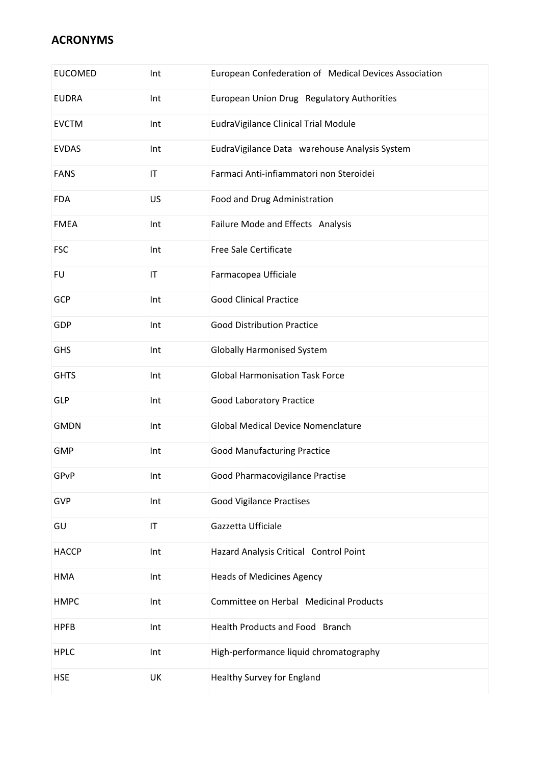| <b>EUCOMED</b> | Int                    | European Confederation of Medical Devices Association |
|----------------|------------------------|-------------------------------------------------------|
| <b>EUDRA</b>   | Int                    | European Union Drug Regulatory Authorities            |
| <b>EVCTM</b>   | Int                    | EudraVigilance Clinical Trial Module                  |
| <b>EVDAS</b>   | Int                    | EudraVigilance Data warehouse Analysis System         |
| <b>FANS</b>    | IT                     | Farmaci Anti-infiammatori non Steroidei               |
| <b>FDA</b>     | US                     | Food and Drug Administration                          |
| <b>FMEA</b>    | Int                    | Failure Mode and Effects Analysis                     |
| <b>FSC</b>     | Int                    | Free Sale Certificate                                 |
| <b>FU</b>      | $\mathsf{I}\mathsf{T}$ | Farmacopea Ufficiale                                  |
| GCP            | Int                    | <b>Good Clinical Practice</b>                         |
| GDP            | Int                    | <b>Good Distribution Practice</b>                     |
| <b>GHS</b>     | Int                    | <b>Globally Harmonised System</b>                     |
| <b>GHTS</b>    | Int                    | <b>Global Harmonisation Task Force</b>                |
| <b>GLP</b>     | Int                    | <b>Good Laboratory Practice</b>                       |
| <b>GMDN</b>    | Int                    | <b>Global Medical Device Nomenclature</b>             |
| <b>GMP</b>     | Int                    | <b>Good Manufacturing Practice</b>                    |
| GPvP           | Int                    | Good Pharmacovigilance Practise                       |
| GVP            | Int                    | <b>Good Vigilance Practises</b>                       |
| GU             | $\mathsf{I}\mathsf{T}$ | Gazzetta Ufficiale                                    |
| <b>HACCP</b>   | Int                    | Hazard Analysis Critical Control Point                |
| <b>HMA</b>     | Int                    | <b>Heads of Medicines Agency</b>                      |
| <b>HMPC</b>    | Int                    | Committee on Herbal Medicinal Products                |
| <b>HPFB</b>    | Int                    | Health Products and Food Branch                       |
| <b>HPLC</b>    | Int                    | High-performance liquid chromatography                |
| <b>HSE</b>     | UK                     | Healthy Survey for England                            |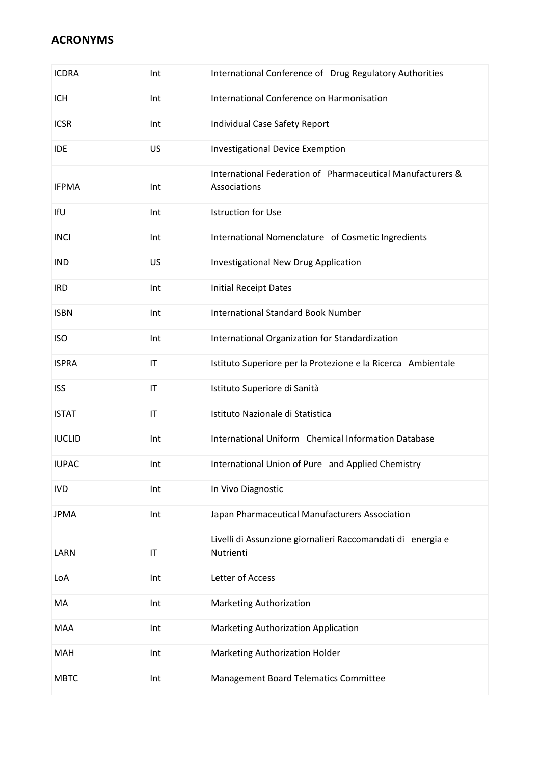| <b>ICDRA</b>  | Int                    | International Conference of Drug Regulatory Authorities                    |
|---------------|------------------------|----------------------------------------------------------------------------|
| <b>ICH</b>    | Int                    | International Conference on Harmonisation                                  |
| <b>ICSR</b>   | Int                    | Individual Case Safety Report                                              |
| <b>IDE</b>    | US                     | <b>Investigational Device Exemption</b>                                    |
| <b>IFPMA</b>  | Int                    | International Federation of Pharmaceutical Manufacturers &<br>Associations |
| IfU           | Int                    | <b>Istruction for Use</b>                                                  |
| <b>INCI</b>   | Int                    | International Nomenclature of Cosmetic Ingredients                         |
| <b>IND</b>    | US                     | Investigational New Drug Application                                       |
| <b>IRD</b>    | Int                    | <b>Initial Receipt Dates</b>                                               |
| <b>ISBN</b>   | Int                    | <b>International Standard Book Number</b>                                  |
| <b>ISO</b>    | Int                    | International Organization for Standardization                             |
| <b>ISPRA</b>  | $\mathsf{I}\mathsf{T}$ | Istituto Superiore per la Protezione e la Ricerca Ambientale               |
| <b>ISS</b>    | IT                     | Istituto Superiore di Sanità                                               |
| <b>ISTAT</b>  | IT                     | Istituto Nazionale di Statistica                                           |
| <b>IUCLID</b> | Int                    | International Uniform Chemical Information Database                        |
| <b>IUPAC</b>  | Int                    | International Union of Pure and Applied Chemistry                          |
| <b>IVD</b>    | Int                    | In Vivo Diagnostic                                                         |
| <b>JPMA</b>   | Int                    | Japan Pharmaceutical Manufacturers Association                             |
| LARN          | IT                     | Livelli di Assunzione giornalieri Raccomandati di energia e<br>Nutrienti   |
| LoA           | Int                    | Letter of Access                                                           |
| MA            | Int                    | Marketing Authorization                                                    |
| <b>MAA</b>    | Int                    | Marketing Authorization Application                                        |
| MAH           | Int                    | Marketing Authorization Holder                                             |
| <b>MBTC</b>   | Int                    | Management Board Telematics Committee                                      |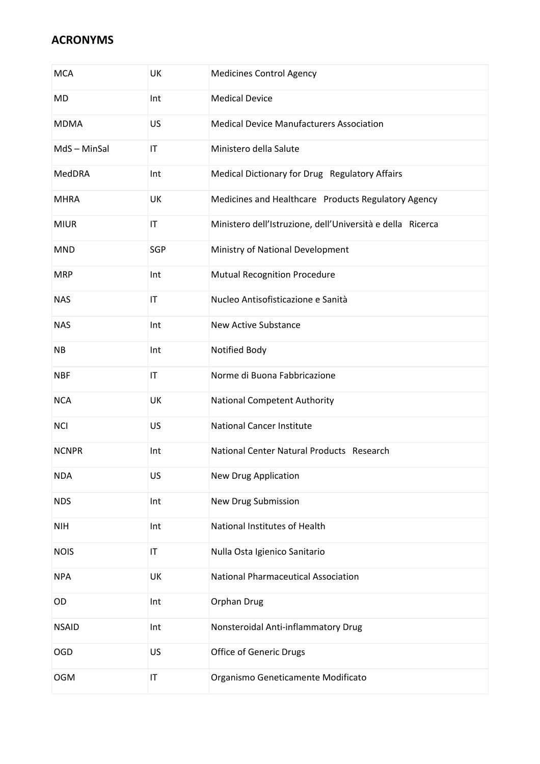| <b>MCA</b>   | UK                     | <b>Medicines Control Agency</b>                            |
|--------------|------------------------|------------------------------------------------------------|
| MD           | Int                    | <b>Medical Device</b>                                      |
| <b>MDMA</b>  | US                     | <b>Medical Device Manufacturers Association</b>            |
| MdS-MinSal   | IT                     | Ministero della Salute                                     |
| MedDRA       | Int                    | Medical Dictionary for Drug Regulatory Affairs             |
| <b>MHRA</b>  | UK                     | Medicines and Healthcare Products Regulatory Agency        |
| <b>MIUR</b>  | IT                     | Ministero dell'Istruzione, dell'Università e della Ricerca |
| <b>MND</b>   | SGP                    | Ministry of National Development                           |
| <b>MRP</b>   | Int                    | <b>Mutual Recognition Procedure</b>                        |
| <b>NAS</b>   | $\mathsf{I}\mathsf{T}$ | Nucleo Antisofisticazione e Sanità                         |
| <b>NAS</b>   | Int                    | <b>New Active Substance</b>                                |
| <b>NB</b>    | Int                    | Notified Body                                              |
| <b>NBF</b>   | $\mathsf{I}\mathsf{T}$ | Norme di Buona Fabbricazione                               |
| <b>NCA</b>   | UK                     | <b>National Competent Authority</b>                        |
| <b>NCI</b>   | US                     | <b>National Cancer Institute</b>                           |
| <b>NCNPR</b> | Int                    | National Center Natural Products Research                  |
| <b>NDA</b>   | US                     | New Drug Application                                       |
| <b>NDS</b>   | Int                    | New Drug Submission                                        |
| <b>NIH</b>   | Int                    | National Institutes of Health                              |
| <b>NOIS</b>  | $\mathsf{I}\mathsf{T}$ | Nulla Osta Igienico Sanitario                              |
| <b>NPA</b>   | UK                     | <b>National Pharmaceutical Association</b>                 |
| OD           | Int                    | Orphan Drug                                                |
| <b>NSAID</b> | Int                    | Nonsteroidal Anti-inflammatory Drug                        |
| OGD          | US                     | Office of Generic Drugs                                    |
| <b>OGM</b>   | IT                     | Organismo Geneticamente Modificato                         |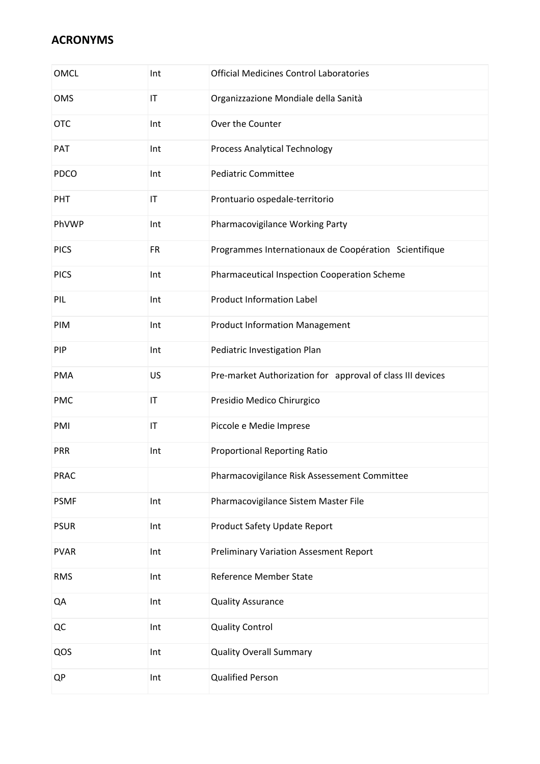| <b>OMCL</b> | Int                    | <b>Official Medicines Control Laboratories</b>             |
|-------------|------------------------|------------------------------------------------------------|
| OMS         | $\mathsf{I}\mathsf{T}$ | Organizzazione Mondiale della Sanità                       |
| <b>OTC</b>  | Int                    | Over the Counter                                           |
| PAT         | Int                    | Process Analytical Technology                              |
| <b>PDCO</b> | Int                    | <b>Pediatric Committee</b>                                 |
| PHT         | $\mathsf{I}\mathsf{T}$ | Prontuario ospedale-territorio                             |
| PhVWP       | Int                    | Pharmacovigilance Working Party                            |
| <b>PICS</b> | <b>FR</b>              | Programmes Internationaux de Coopération Scientifique      |
| <b>PICS</b> | Int                    | Pharmaceutical Inspection Cooperation Scheme               |
| PIL         | Int                    | <b>Product Information Label</b>                           |
| PIM         | Int                    | <b>Product Information Management</b>                      |
| PIP         | Int                    | Pediatric Investigation Plan                               |
| <b>PMA</b>  | US                     | Pre-market Authorization for approval of class III devices |
| <b>PMC</b>  | IT                     | Presidio Medico Chirurgico                                 |
| PMI         | $\mathsf{I}\mathsf{T}$ | Piccole e Medie Imprese                                    |
| PRR         | Int                    | <b>Proportional Reporting Ratio</b>                        |
| PRAC        |                        | Pharmacovigilance Risk Assessement Committee               |
| <b>PSMF</b> | Int                    | Pharmacovigilance Sistem Master File                       |
| <b>PSUR</b> | Int                    | Product Safety Update Report                               |
| <b>PVAR</b> | Int                    | <b>Preliminary Variation Assesment Report</b>              |
| <b>RMS</b>  | Int                    | Reference Member State                                     |
| QA          | Int                    | <b>Quality Assurance</b>                                   |
| QC          | Int                    | <b>Quality Control</b>                                     |
| QOS         | Int                    | <b>Quality Overall Summary</b>                             |
| QP          | Int                    | <b>Qualified Person</b>                                    |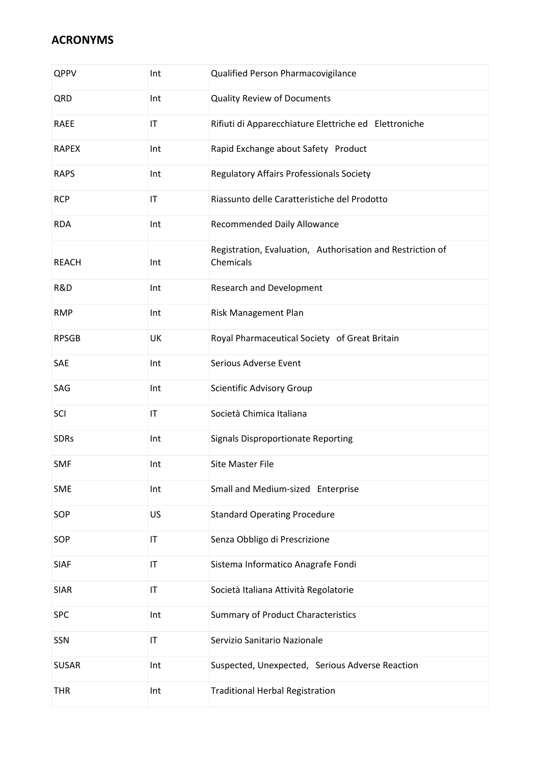| QPPV         | Int                    | Qualified Person Pharmacovigilance                                      |
|--------------|------------------------|-------------------------------------------------------------------------|
| QRD          | Int                    | <b>Quality Review of Documents</b>                                      |
| <b>RAEE</b>  | $\mathsf{I}\mathsf{T}$ | Rifiuti di Apparecchiature Elettriche ed Elettroniche                   |
| <b>RAPEX</b> | Int                    | Rapid Exchange about Safety Product                                     |
| <b>RAPS</b>  | Int                    | Regulatory Affairs Professionals Society                                |
| <b>RCP</b>   | $\mathsf{I}\mathsf{T}$ | Riassunto delle Caratteristiche del Prodotto                            |
| <b>RDA</b>   | Int                    | Recommended Daily Allowance                                             |
| <b>REACH</b> | Int                    | Registration, Evaluation, Authorisation and Restriction of<br>Chemicals |
| R&D          | Int                    | Research and Development                                                |
| <b>RMP</b>   | Int                    | Risk Management Plan                                                    |
| <b>RPSGB</b> | UK                     | Royal Pharmaceutical Society of Great Britain                           |
| SAE          | Int                    | Serious Adverse Event                                                   |
| SAG          | Int                    | Scientific Advisory Group                                               |
| SCI          | $\mathsf{I}\mathsf{T}$ | Società Chimica Italiana                                                |
| <b>SDRs</b>  | Int                    | <b>Signals Disproportionate Reporting</b>                               |
| <b>SMF</b>   | Int                    | <b>Site Master File</b>                                                 |
| <b>SME</b>   | Int                    | Small and Medium-sized Enterprise                                       |
| SOP          | US                     | <b>Standard Operating Procedure</b>                                     |
| SOP          | $\mathsf{I}\mathsf{T}$ | Senza Obbligo di Prescrizione                                           |
| <b>SIAF</b>  | $\mathsf{I}\mathsf{T}$ | Sistema Informatico Anagrafe Fondi                                      |
| <b>SIAR</b>  | $\mathsf{I}\mathsf{T}$ | Società Italiana Attività Regolatorie                                   |
| SPC          | Int                    | <b>Summary of Product Characteristics</b>                               |
| SSN          | $\mathsf{I}\mathsf{T}$ | Servizio Sanitario Nazionale                                            |
| <b>SUSAR</b> | Int                    | Suspected, Unexpected, Serious Adverse Reaction                         |
| <b>THR</b>   | Int                    | <b>Traditional Herbal Registration</b>                                  |